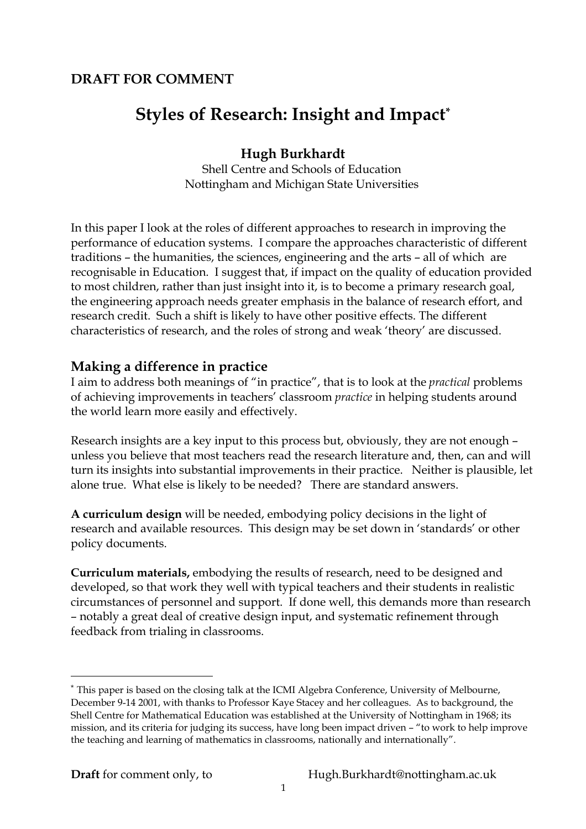# **DRAFT FOR COMMENT**

# **Styles of Research: Insight and Impact\***

# **Hugh Burkhardt**

Shell Centre and Schools of Education Nottingham and Michigan State Universities

In this paper I look at the roles of different approaches to research in improving the performance of education systems. I compare the approaches characteristic of different traditions – the humanities, the sciences, engineering and the arts – all of which are recognisable in Education. I suggest that, if impact on the quality of education provided to most children, rather than just insight into it, is to become a primary research goal, the engineering approach needs greater emphasis in the balance of research effort, and research credit. Such a shift is likely to have other positive effects. The different characteristics of research, and the roles of strong and weak 'theory' are discussed.

## **Making a difference in practice**

I aim to address both meanings of "in practice", that is to look at the *practical* problems of achieving improvements in teachers' classroom *practice* in helping students around the world learn more easily and effectively.

Research insights are a key input to this process but, obviously, they are not enough – unless you believe that most teachers read the research literature and, then, can and will turn its insights into substantial improvements in their practice. Neither is plausible, let alone true. What else is likely to be needed? There are standard answers.

**A curriculum design** will be needed, embodying policy decisions in the light of research and available resources. This design may be set down in 'standards' or other policy documents.

**Curriculum materials,** embodying the results of research, need to be designed and developed, so that work they well with typical teachers and their students in realistic circumstances of personnel and support. If done well, this demands more than research – notably a great deal of creative design input, and systematic refinement through feedback from trialing in classrooms.

 $\overline{a}$ 

<sup>\*</sup> This paper is based on the closing talk at the ICMI Algebra Conference, University of Melbourne, December 9-14 2001, with thanks to Professor Kaye Stacey and her colleagues. As to background, the Shell Centre for Mathematical Education was established at the University of Nottingham in 1968; its mission, and its criteria for judging its success, have long been impact driven – "to work to help improve the teaching and learning of mathematics in classrooms, nationally and internationally".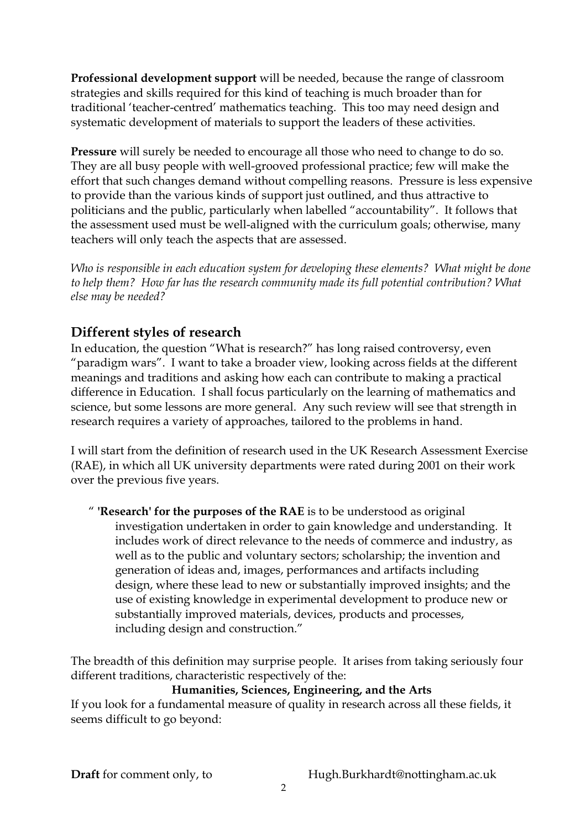**Professional development support** will be needed, because the range of classroom strategies and skills required for this kind of teaching is much broader than for traditional 'teacher-centred' mathematics teaching. This too may need design and systematic development of materials to support the leaders of these activities.

**Pressure** will surely be needed to encourage all those who need to change to do so. They are all busy people with well-grooved professional practice; few will make the effort that such changes demand without compelling reasons. Pressure is less expensive to provide than the various kinds of support just outlined, and thus attractive to politicians and the public, particularly when labelled "accountability". It follows that the assessment used must be well-aligned with the curriculum goals; otherwise, many teachers will only teach the aspects that are assessed.

*Who is responsible in each education system for developing these elements? What might be done to help them? How far has the research community made its full potential contribution? What else may be needed?* 

# **Different styles of research**

In education, the question "What is research?" has long raised controversy, even "paradigm wars". I want to take a broader view, looking across fields at the different meanings and traditions and asking how each can contribute to making a practical difference in Education. I shall focus particularly on the learning of mathematics and science, but some lessons are more general. Any such review will see that strength in research requires a variety of approaches, tailored to the problems in hand.

I will start from the definition of research used in the UK Research Assessment Exercise (RAE), in which all UK university departments were rated during 2001 on their work over the previous five years.

" **'Research' for the purposes of the RAE** is to be understood as original investigation undertaken in order to gain knowledge and understanding. It includes work of direct relevance to the needs of commerce and industry, as well as to the public and voluntary sectors; scholarship; the invention and generation of ideas and, images, performances and artifacts including design, where these lead to new or substantially improved insights; and the use of existing knowledge in experimental development to produce new or substantially improved materials, devices, products and processes, including design and construction."

The breadth of this definition may surprise people. It arises from taking seriously four different traditions, characteristic respectively of the:

**Humanities, Sciences, Engineering, and the Arts** 

If you look for a fundamental measure of quality in research across all these fields, it seems difficult to go beyond: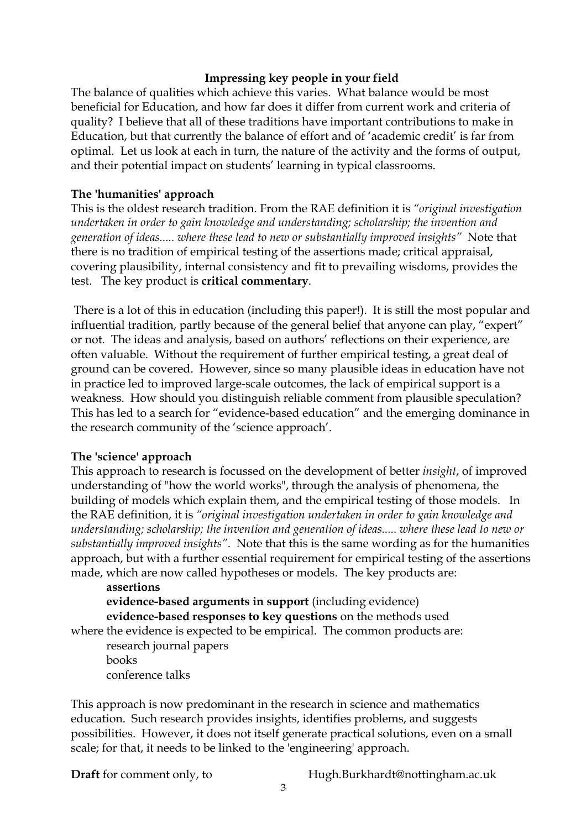#### **Impressing key people in your field**

The balance of qualities which achieve this varies. What balance would be most beneficial for Education, and how far does it differ from current work and criteria of quality? I believe that all of these traditions have important contributions to make in Education, but that currently the balance of effort and of 'academic credit' is far from optimal. Let us look at each in turn, the nature of the activity and the forms of output, and their potential impact on students' learning in typical classrooms.

## **The 'humanities' approach**

This is the oldest research tradition. From the RAE definition it is *"original investigation undertaken in order to gain knowledge and understanding; scholarship; the invention and generation of ideas..... where these lead to new or substantially improved insights"* Note that there is no tradition of empirical testing of the assertions made; critical appraisal, covering plausibility, internal consistency and fit to prevailing wisdoms, provides the test. The key product is **critical commentary**.

 There is a lot of this in education (including this paper!). It is still the most popular and influential tradition, partly because of the general belief that anyone can play, "expert" or not. The ideas and analysis, based on authors' reflections on their experience, are often valuable. Without the requirement of further empirical testing, a great deal of ground can be covered. However, since so many plausible ideas in education have not in practice led to improved large-scale outcomes, the lack of empirical support is a weakness. How should you distinguish reliable comment from plausible speculation? This has led to a search for "evidence-based education" and the emerging dominance in the research community of the 'science approach'.

#### **The 'science' approach**

This approach to research is focussed on the development of better *insight*, of improved understanding of "how the world works", through the analysis of phenomena, the building of models which explain them, and the empirical testing of those models. In the RAE definition, it is *"original investigation undertaken in order to gain knowledge and understanding; scholarship; the invention and generation of ideas..... where these lead to new or substantially improved insights"*. Note that this is the same wording as for the humanities approach, but with a further essential requirement for empirical testing of the assertions made, which are now called hypotheses or models. The key products are:

#### **assertions evidence-based arguments in support** (including evidence) **evidence-based responses to key questions** on the methods used where the evidence is expected to be empirical. The common products are:

 research journal papers books conference talks

This approach is now predominant in the research in science and mathematics education. Such research provides insights, identifies problems, and suggests possibilities. However, it does not itself generate practical solutions, even on a small scale; for that, it needs to be linked to the 'engineering' approach.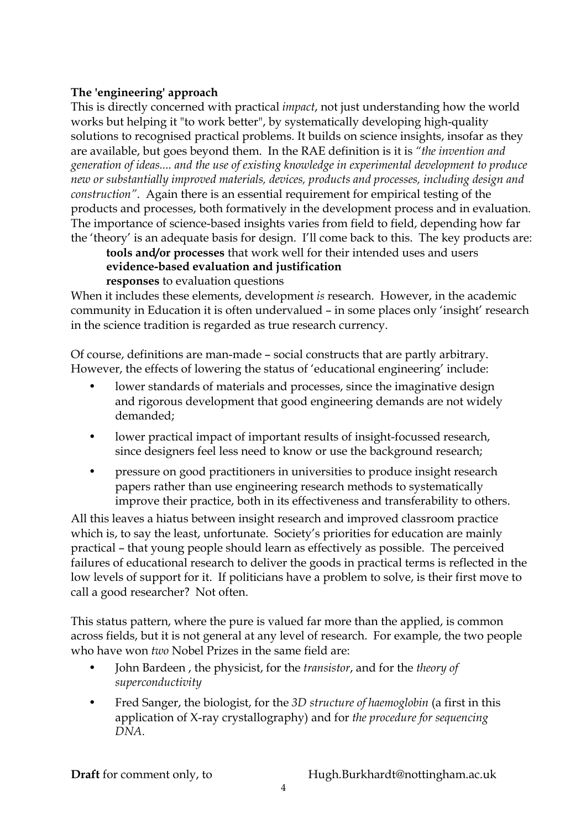## **The 'engineering' approach**

This is directly concerned with practical *impact*, not just understanding how the world works but helping it "to work better", by systematically developing high-quality solutions to recognised practical problems. It builds on science insights, insofar as they are available, but goes beyond them. In the RAE definition is it is *"the invention and generation of ideas.... and the use of existing knowledge in experimental development to produce new or substantially improved materials, devices, products and processes, including design and construction"*. Again there is an essential requirement for empirical testing of the products and processes, both formatively in the development process and in evaluation. The importance of science-based insights varies from field to field, depending how far the 'theory' is an adequate basis for design. I'll come back to this. The key products are:

**tools and/or processes** that work well for their intended uses and users **evidence-based evaluation and justification responses** to evaluation questions

When it includes these elements, development *is* research. However, in the academic community in Education it is often undervalued – in some places only 'insight' research in the science tradition is regarded as true research currency.

Of course, definitions are man-made – social constructs that are partly arbitrary. However, the effects of lowering the status of 'educational engineering' include:

- lower standards of materials and processes, since the imaginative design and rigorous development that good engineering demands are not widely demanded;
- lower practical impact of important results of insight-focussed research, since designers feel less need to know or use the background research;
- pressure on good practitioners in universities to produce insight research papers rather than use engineering research methods to systematically improve their practice, both in its effectiveness and transferability to others.

All this leaves a hiatus between insight research and improved classroom practice which is, to say the least, unfortunate. Society's priorities for education are mainly practical – that young people should learn as effectively as possible. The perceived failures of educational research to deliver the goods in practical terms is reflected in the low levels of support for it. If politicians have a problem to solve, is their first move to call a good researcher? Not often.

This status pattern, where the pure is valued far more than the applied, is common across fields, but it is not general at any level of research. For example, the two people who have won *two* Nobel Prizes in the same field are:

- John Bardeen , the physicist, for the *transistor*, and for the *theory of superconductivity*
- Fred Sanger, the biologist, for the *3D structure of haemoglobin* (a first in this application of X-ray crystallography) and for *the procedure for sequencing DNA.*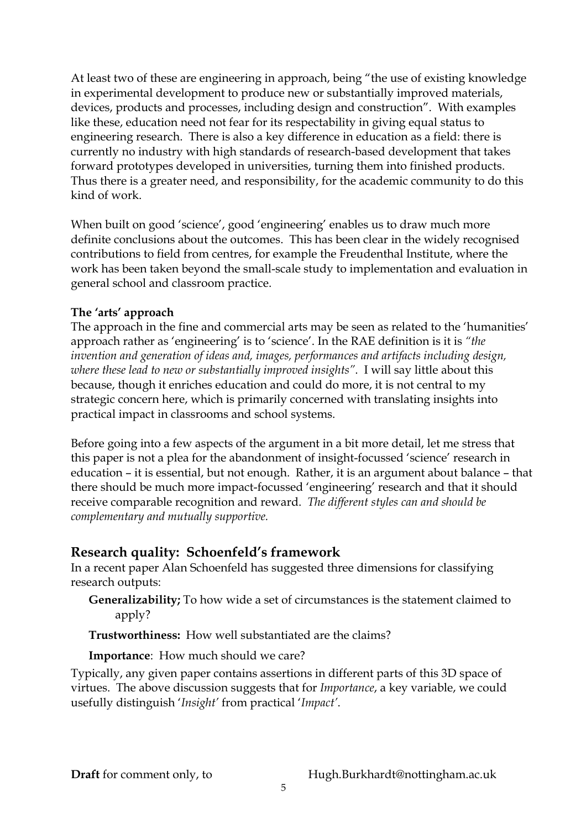At least two of these are engineering in approach, being "the use of existing knowledge in experimental development to produce new or substantially improved materials, devices, products and processes, including design and construction". With examples like these, education need not fear for its respectability in giving equal status to engineering research. There is also a key difference in education as a field: there is currently no industry with high standards of research-based development that takes forward prototypes developed in universities, turning them into finished products. Thus there is a greater need, and responsibility, for the academic community to do this kind of work.

When built on good 'science', good 'engineering' enables us to draw much more definite conclusions about the outcomes. This has been clear in the widely recognised contributions to field from centres, for example the Freudenthal Institute, where the work has been taken beyond the small-scale study to implementation and evaluation in general school and classroom practice.

## **The 'arts' approach**

The approach in the fine and commercial arts may be seen as related to the 'humanities' approach rather as 'engineering' is to 'science'. In the RAE definition is it is *"the invention and generation of ideas and, images, performances and artifacts including design, where these lead to new or substantially improved insights"*. I will say little about this because, though it enriches education and could do more, it is not central to my strategic concern here, which is primarily concerned with translating insights into practical impact in classrooms and school systems.

Before going into a few aspects of the argument in a bit more detail, let me stress that this paper is not a plea for the abandonment of insight-focussed 'science' research in education – it is essential, but not enough. Rather, it is an argument about balance – that there should be much more impact-focussed 'engineering' research and that it should receive comparable recognition and reward. *The different styles can and should be complementary and mutually supportive.* 

# **Research quality: Schoenfeld's framework**

In a recent paper Alan Schoenfeld has suggested three dimensions for classifying research outputs:

**Generalizability;** To how wide a set of circumstances is the statement claimed to apply?

**Trustworthiness:** How well substantiated are the claims?

## **Importance**: How much should we care?

Typically, any given paper contains assertions in different parts of this 3D space of virtues. The above discussion suggests that for *Importance*, a key variable, we could usefully distinguish '*Insight'* from practical '*Impact'*.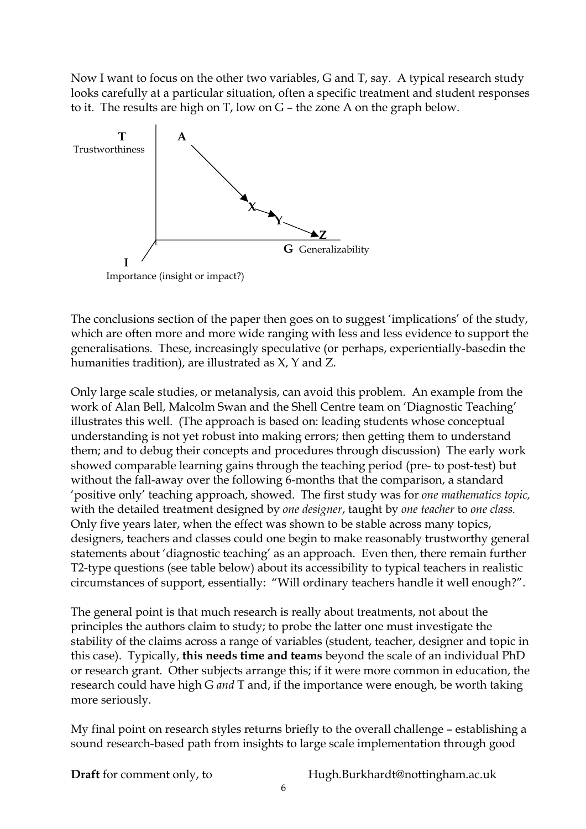Now I want to focus on the other two variables, G and T, say. A typical research study looks carefully at a particular situation, often a specific treatment and student responses to it. The results are high on T, low on G – the zone A on the graph below.



The conclusions section of the paper then goes on to suggest 'implications' of the study, which are often more and more wide ranging with less and less evidence to support the generalisations. These, increasingly speculative (or perhaps, experientially-basedin the humanities tradition), are illustrated as X, Y and Z.

Only large scale studies, or metanalysis, can avoid this problem. An example from the work of Alan Bell, Malcolm Swan and the Shell Centre team on 'Diagnostic Teaching' illustrates this well. (The approach is based on: leading students whose conceptual understanding is not yet robust into making errors; then getting them to understand them; and to debug their concepts and procedures through discussion) The early work showed comparable learning gains through the teaching period (pre- to post-test) but without the fall-away over the following 6-months that the comparison, a standard 'positive only' teaching approach, showed. The first study was for *one mathematics topic,*  with the detailed treatment designed by *one designer*, taught by *one teacher* to *one class.*  Only five years later, when the effect was shown to be stable across many topics, designers, teachers and classes could one begin to make reasonably trustworthy general statements about 'diagnostic teaching' as an approach. Even then, there remain further T2-type questions (see table below) about its accessibility to typical teachers in realistic circumstances of support, essentially: "Will ordinary teachers handle it well enough?".

The general point is that much research is really about treatments, not about the principles the authors claim to study; to probe the latter one must investigate the stability of the claims across a range of variables (student, teacher, designer and topic in this case). Typically, **this needs time and teams** beyond the scale of an individual PhD or research grant. Other subjects arrange this; if it were more common in education, the research could have high G *and* T and, if the importance were enough, be worth taking more seriously.

My final point on research styles returns briefly to the overall challenge – establishing a sound research-based path from insights to large scale implementation through good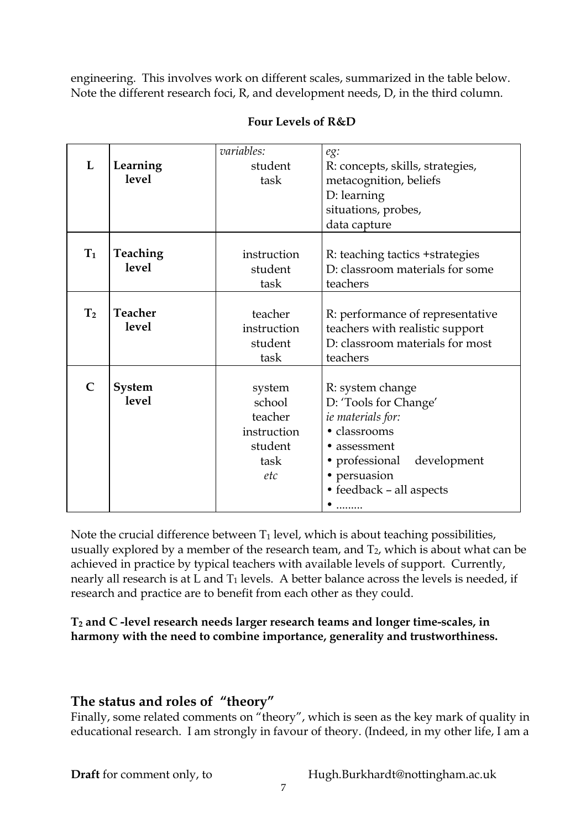engineering. This involves work on different scales, summarized in the table below. Note the different research foci, R, and development needs, D, in the third column.

|                |                | variables:  | eg:                              |
|----------------|----------------|-------------|----------------------------------|
| L              | Learning       | student     | R: concepts, skills, strategies, |
|                | <b>level</b>   | task        | metacognition, beliefs           |
|                |                |             | D: learning                      |
|                |                |             | situations, probes,              |
|                |                |             | data capture                     |
|                |                |             |                                  |
| $T_1$          | Teaching       | instruction | R: teaching tactics + strategies |
|                | <b>level</b>   | student     | D: classroom materials for some  |
|                |                | task        | teachers                         |
|                |                |             |                                  |
| T <sub>2</sub> | <b>Teacher</b> | teacher     | R: performance of representative |
|                | <b>level</b>   | instruction | teachers with realistic support  |
|                |                | student     | D: classroom materials for most  |
|                |                | task        | teachers                         |
|                |                |             |                                  |
| $\mathsf{C}$   | System         | system      | R: system change                 |
|                | level          | school      | D: 'Tools for Change'            |
|                |                | teacher     | ie materials for:                |
|                |                | instruction | · classrooms                     |
|                |                | student     | • assessment                     |
|                |                | task        | • professional<br>development    |
|                |                | etc         | • persuasion                     |
|                |                |             | • feedback - all aspects         |
|                |                |             |                                  |

## **Four Levels of R&D**

Note the crucial difference between  $T_1$  level, which is about teaching possibilities, usually explored by a member of the research team, and  $T_2$ , which is about what can be achieved in practice by typical teachers with available levels of support. Currently, nearly all research is at L and  $T_1$  levels. A better balance across the levels is needed, if research and practice are to benefit from each other as they could.

## **T2 and C -level research needs larger research teams and longer time-scales, in harmony with the need to combine importance, generality and trustworthiness.**

# **The status and roles of "theory"**

Finally, some related comments on "theory", which is seen as the key mark of quality in educational research. I am strongly in favour of theory. (Indeed, in my other life, I am a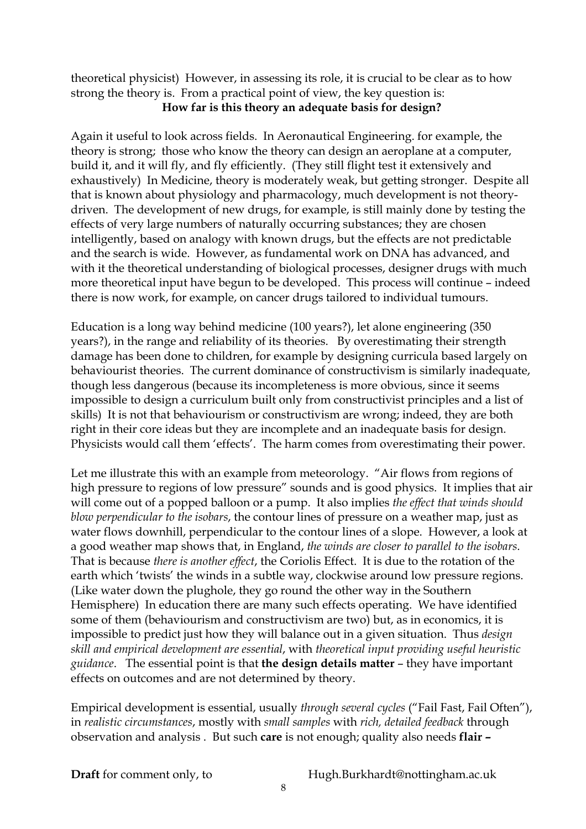theoretical physicist) However, in assessing its role, it is crucial to be clear as to how strong the theory is. From a practical point of view, the key question is: **How far is this theory an adequate basis for design?** 

Again it useful to look across fields. In Aeronautical Engineering. for example, the theory is strong; those who know the theory can design an aeroplane at a computer, build it, and it will fly, and fly efficiently. (They still flight test it extensively and exhaustively) In Medicine, theory is moderately weak, but getting stronger. Despite all that is known about physiology and pharmacology, much development is not theorydriven. The development of new drugs, for example, is still mainly done by testing the effects of very large numbers of naturally occurring substances; they are chosen intelligently, based on analogy with known drugs, but the effects are not predictable and the search is wide. However, as fundamental work on DNA has advanced, and with it the theoretical understanding of biological processes, designer drugs with much more theoretical input have begun to be developed. This process will continue – indeed there is now work, for example, on cancer drugs tailored to individual tumours.

Education is a long way behind medicine (100 years?), let alone engineering (350 years?), in the range and reliability of its theories. By overestimating their strength damage has been done to children, for example by designing curricula based largely on behaviourist theories. The current dominance of constructivism is similarly inadequate, though less dangerous (because its incompleteness is more obvious, since it seems impossible to design a curriculum built only from constructivist principles and a list of skills) It is not that behaviourism or constructivism are wrong; indeed, they are both right in their core ideas but they are incomplete and an inadequate basis for design. Physicists would call them 'effects'. The harm comes from overestimating their power.

Let me illustrate this with an example from meteorology. "Air flows from regions of high pressure to regions of low pressure" sounds and is good physics. It implies that air will come out of a popped balloon or a pump. It also implies *the effect that winds should blow perpendicular to the isobars*, the contour lines of pressure on a weather map, just as water flows downhill, perpendicular to the contour lines of a slope. However, a look at a good weather map shows that, in England, *the winds are closer to parallel to the isobars*. That is because *there is another effect*, the Coriolis Effect. It is due to the rotation of the earth which 'twists' the winds in a subtle way, clockwise around low pressure regions. (Like water down the plughole, they go round the other way in the Southern Hemisphere) In education there are many such effects operating. We have identified some of them (behaviourism and constructivism are two) but, as in economics, it is impossible to predict just how they will balance out in a given situation. Thus *design skill and empirical development are essential*, with *theoretical input providing useful heuristic guidance*. The essential point is that **the design details matter** – they have important effects on outcomes and are not determined by theory.

Empirical development is essential, usually *through several cycles* ("Fail Fast, Fail Often"), in *realistic circumstances*, mostly with *small samples* with *rich, detailed feedback* through observation and analysis . But such **care** is not enough; quality also needs **flair –**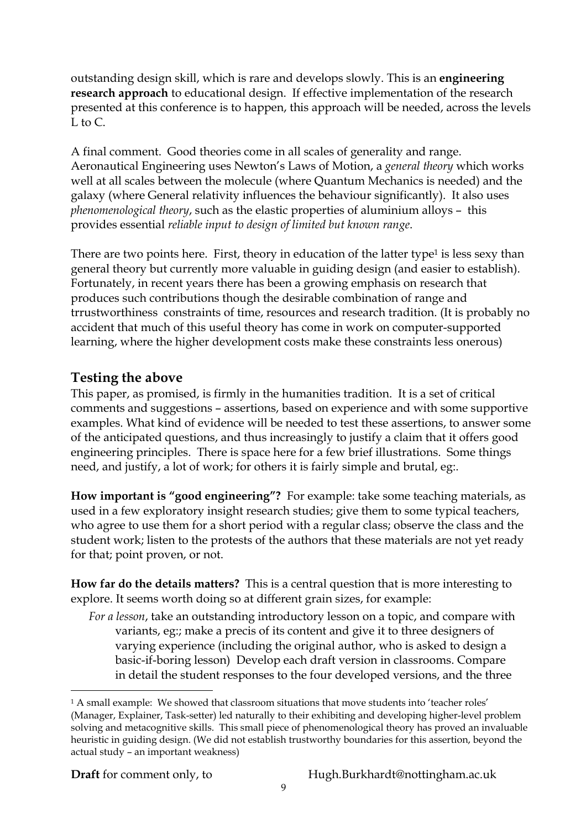outstanding design skill, which is rare and develops slowly. This is an **engineering research approach** to educational design. If effective implementation of the research presented at this conference is to happen, this approach will be needed, across the levels L to C.

A final comment. Good theories come in all scales of generality and range. Aeronautical Engineering uses Newton's Laws of Motion, a *general theory* which works well at all scales between the molecule (where Quantum Mechanics is needed) and the galaxy (where General relativity influences the behaviour significantly). It also uses *phenomenological theory*, such as the elastic properties of aluminium alloys – this provides essential *reliable input to design of limited but known range*.

There are two points here. First, theory in education of the latter type<sup>1</sup> is less sexy than general theory but currently more valuable in guiding design (and easier to establish). Fortunately, in recent years there has been a growing emphasis on research that produces such contributions though the desirable combination of range and trrustworthiness constraints of time, resources and research tradition. (It is probably no accident that much of this useful theory has come in work on computer-supported learning, where the higher development costs make these constraints less onerous)

# **Testing the above**

This paper, as promised, is firmly in the humanities tradition. It is a set of critical comments and suggestions – assertions, based on experience and with some supportive examples. What kind of evidence will be needed to test these assertions, to answer some of the anticipated questions, and thus increasingly to justify a claim that it offers good engineering principles. There is space here for a few brief illustrations. Some things need, and justify, a lot of work; for others it is fairly simple and brutal, eg:.

**How important is "good engineering"?** For example: take some teaching materials, as used in a few exploratory insight research studies; give them to some typical teachers, who agree to use them for a short period with a regular class; observe the class and the student work; listen to the protests of the authors that these materials are not yet ready for that; point proven, or not.

**How far do the details matters?** This is a central question that is more interesting to explore. It seems worth doing so at different grain sizes, for example:

*For a lesson*, take an outstanding introductory lesson on a topic, and compare with variants, eg:; make a precis of its content and give it to three designers of varying experience (including the original author, who is asked to design a basic-if-boring lesson) Develop each draft version in classrooms. Compare in detail the student responses to the four developed versions, and the three

 $\overline{a}$ 

<sup>&</sup>lt;sup>1</sup> A small example: We showed that classroom situations that move students into 'teacher roles' (Manager, Explainer, Task-setter) led naturally to their exhibiting and developing higher-level problem solving and metacognitive skills. This small piece of phenomenological theory has proved an invaluable heuristic in guiding design. (We did not establish trustworthy boundaries for this assertion, beyond the actual study – an important weakness)